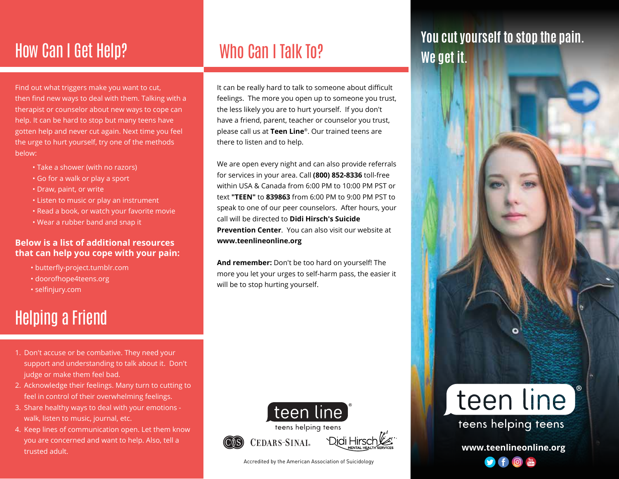## How Can I Get Help? Who Can I Talk To?

Find out what triggers make you want to cut, then find new ways to deal with them. Talking with a therapist or counselor about new ways to cope can help. It can be hard to stop but many teens have gotten help and never cut again. Next time you feel the urge to hurt yourself, try one of the methods below:

- Take a shower (with no razors)
- Go for a walk or play a sport
- Draw, paint, or write
- Listen to music or play an instrument
- Read a book, or watch your favorite movie
- Wear a rubber band and snap it

#### **Below is a list of additional resources that can help you cope with your pain:**

- butterfly-project.tumblr.com
- doorofhope4teens.org
- selfinjury.com

# Helping a Friend

- 1. Don't accuse or be combative. They need your support and understanding to talk about it. Don't judge or make them feel bad.
- 2. Acknowledge their feelings. Many turn to cutting to feel in control of their overwhelming feelings.
- 3. Share healthy ways to deal with your emotions walk, listen to music, journal, etc.
- 4. Keep lines of communication open. Let them know you are concerned and want to help. Also, tell a trusted adult.

It can be really hard to talk to someone about difficult feelings. The more you open up to someone you trust, the less likely you are to hurt yourself. If you don't have a friend, parent, teacher or counselor you trust, please call us at **Teen Line**®. Our trained teens are there to listen and to help.

. **Prevention Center**. You can also visit our website at We are open every night and can also provide referrals for services in your area. Call **(800) 852-8336** toll-free within USA & Canada from 6:00 PM to 10:00 PM PST or text **"TEEN"** to **839863** from 6:00 PM to 9:00 PM PST to speak to one of our peer counselors. After hours, your call will be directed to **Didi Hirsch's Suicide www.teenlineonline.org**

**And remember:** Don't be too hard on yourself! The more you let your urges to self-harm pass, the easier it will be to stop hurting yourself.



Accredited by the American Association of Suicidology

#### **You cut yourself to stop the pain. We get it.**



**www.teenlineonline.org**